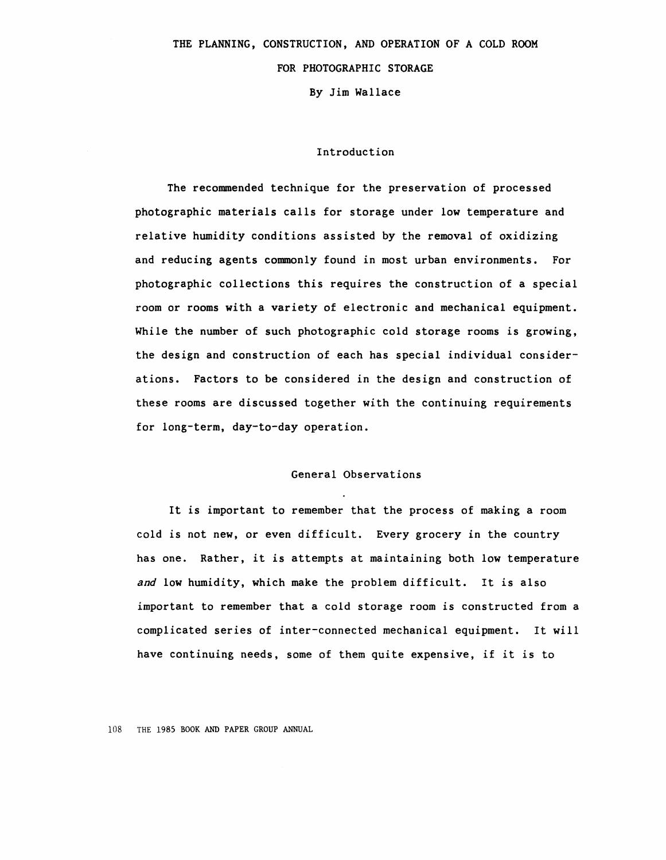# THE **PLANNING, CONSTRUCTION, AND OPERATION** OF A COLD ROOM

# FOR **PHOTOGRAPHIC STORAGE**

By Jim Wallace

#### Introduction

The recomended technique for the preservation of processed photographic materials calls for storage under low temperature and relative humidity conditions assisted by the removal of oxidizing and reducing agents connnonly found in most urban environments. For photographic collections this requires the construction of a special room or rooms with a variety of electronic and mechanical equipment. While the number of such photographic cold storage rooms is growing, the design and construction of each has special individual considerations. Factors to be considered in the design and construction of these rooms are discussed together with the continuing requirements for long-term, day-to-day operation.

#### General Observations

It is important to remember that the process of making a room cold is not new, or even difficult. Every grocery in the country has one. Rather, it is attempts at maintaining both low temperature *and* low humidity, which make the problem difficult. It is also important to remember that a cold storage room is constructed from a complicated series of inter-connected mechanical equipment. It will have continuing needs, some of them quite expensive, if it is to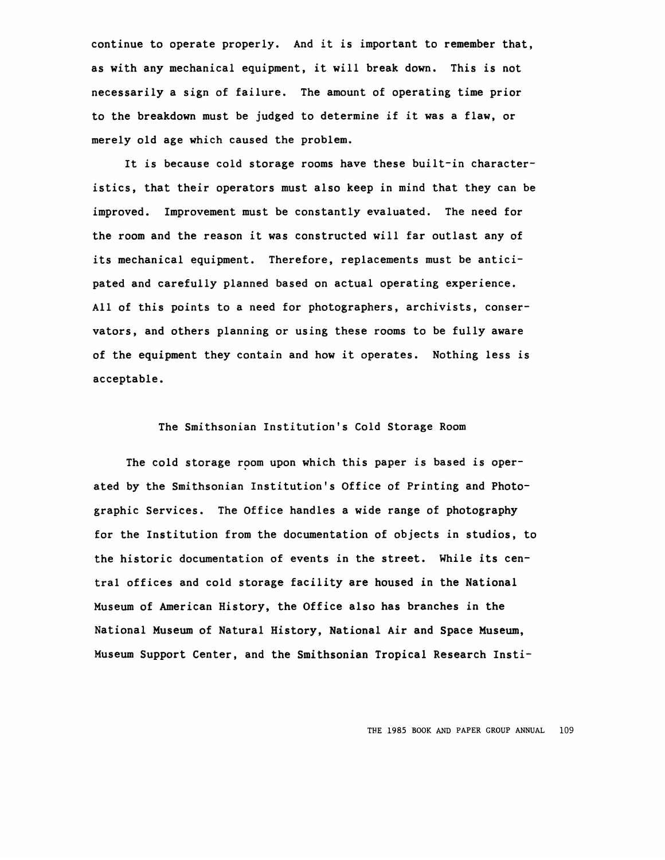continue to operate properly. And it is important to remember that, as with any mechanical equipment, it will break down. This is not necessarily a sign of failure. The amount of operating time prior to the breakdown must be judged to determine if it **was a** flaw, or merely old age which caused the problem.

It is because cold storage rooms have these built-in characteristics, that their operators must also keep in mind that they can be improved. Improvement must be constantly evaluated. The need for the room and the reason it was constructed will far outlast any of its mechanical equipment. Therefore, replacements must be anticipated and carefully planned based on actual operating experience. All of this points to a need for photographers, archivists, conservators, and others planning or using these rooms to be fully aware of the equipment they contain and how it operates. Nothing less is acceptable.

# The Smithsonian Institution's Cold Storage Room

The cold storage room upon which this paper is based is operated by the Smithsonian Institution's Office of Printing and Photographic Services. The Office handles a wide range of photography for the Institution from the documentation of objects in studios, to the historic documentation of events in the street. While its central offices and cold storage facility are housed in the National Museum of American History, the Office also has branches in the National Museum of Natural History, National Air and Space Museum, Museum Support Center, and the Smithsonian Tropical Research Insti-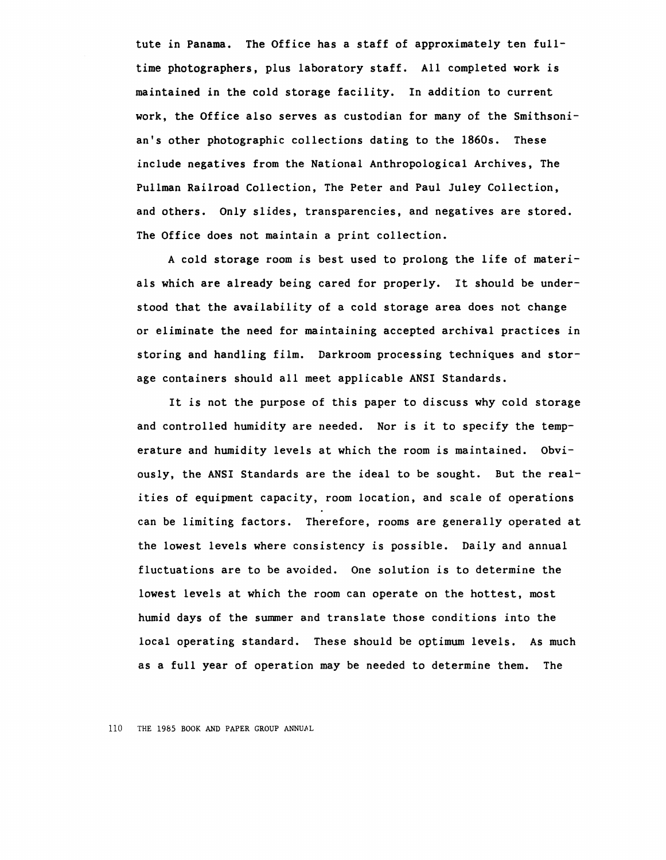tute in Panama. The Office has a staff of approximately ten fulltime photographers, plus laboratory staff. All completed work is maintained in the cold storage facility. In addition to current work, the Office also serves as custodian for many of the Smithsonian's other photographic collections dating to the 1860s. These include negatives from the National Anthropological Archives, The Pullman Railroad Collection, The Peter and Paul Juley Collection, and others. Only slides, transparencies, and negatives are stored. The Office does not maintain a print collection.

A cold storage room is best used to prolong the life of materials which are already being cared for properly. It should be understood that the availability of a cold storage area does not change or eliminate the need for maintaining accepted archival practices in storing and handling film. Darkroom processing techniques and storage containers should all meet applicable ANSI Standards.

It is not the purpose of this paper to discuss why cold storage and controlled humidity are needed. Nor is it to specify the temperature and humidity levels at which the room is maintained. Obviously, the ANSI Standards are the ideal to be sought. But the realities of equipment capacity, room location, and scale of operations can be limiting factors. Therefore, rooms are generally operated at the lowest levels where consistency is possible. Daily and annual fluctuations are to be avoided. One solution is to determine the lowest levels at which the room can operate on the hottest, most humid **days** of the summer and translate those conditions into the local operating standard. These should be optimum levels. As much as a full year of operation may be needed to determine them. The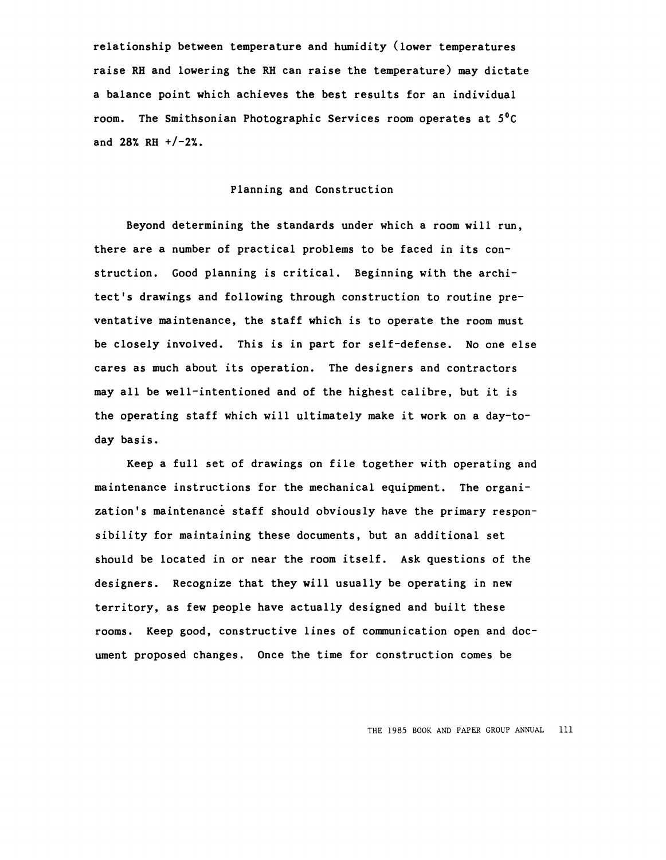relationship between temperature and humidity (lower temperatures raise RH and lowering the RH can raise the temperature) may dictate a balance point which achieves the best results for an individual room. The Smithsonian Photographic Services room operates at *s*<sup>0</sup> *c*  and **28% RH +/-2%.** 

#### Planning and Construction

Beyond determining the standards under which a room will run, there are a number of practical problems to be faced in its construction. Good planning is critical. Beginning with the architect's drawings and following through construction to routine preventative maintenance, the staff which is to operate the room must be closely involved. This is in part for self-defense. No one else cares as much about its operation. The designers and contractors may all be well-intentioned and of the highest calibre, but it is the operating staff which will ultimately make it work on a day-today basis.

Keep a full set of drawings on file together with operating and maintenance instructions for the mechanical equipment. The organization's maintenance staff should obviously have the primary responsibility for maintaining these documents, but an additional set should be located in or near the room itself. Ask questions of the designers. Recognize that they will usually be operating in new territory, as few people have actually designed and built these rooms. Keep good, constructive lines of communication open and document proposed changes. Once the time for construction comes be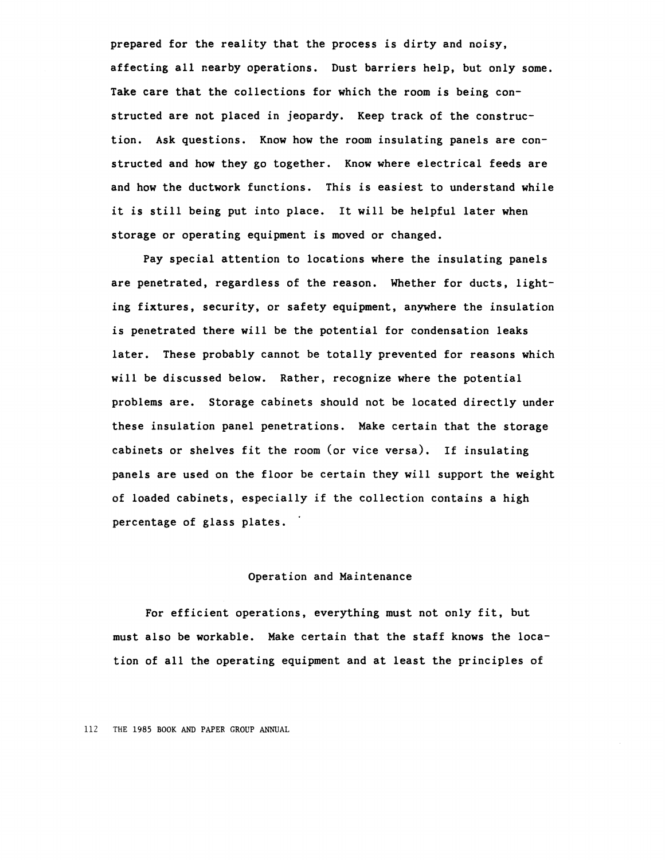prepared for the reality that the process is dirty and noisy, affecting all nearby operations. Dust barriers help, but only some. Take care that the collections for which the room is being constructed are not placed in jeopardy. Keep track of the construction. Ask questions. Know how the room insulating panels are constructed and how they go together. Know where electrical feeds are and how the ductwork functions. This is easiest to understand while it is still being put into place. It will be helpful later when storage or operating equipment is moved or changed.

Pay special attention to locations where the insulating panels are penetrated, regardless of the reason. Whether for ducts, lighting fixtures, security, or safety equipment, anywhere the insulation is penetrated there will be the potential for condensation leaks later. These probably cannot be totally prevented for reasons which will be discussed below. Rather, recognize where the potential problems are. Storage cabinets should not be located directly under these insulation panel penetrations. Make certain that the storage cabinets or shelves fit the room (or vice versa). If insulating panels are used on the floor be certain they will support the weight of loaded cabinets, especially if the collection contains a high percentage of glass plates.

# Operation and Maintenance

For efficient operations, everything must not only fit, but must also be workable. Make certain that the staff knows the location of all the operating equipment and at least the principles of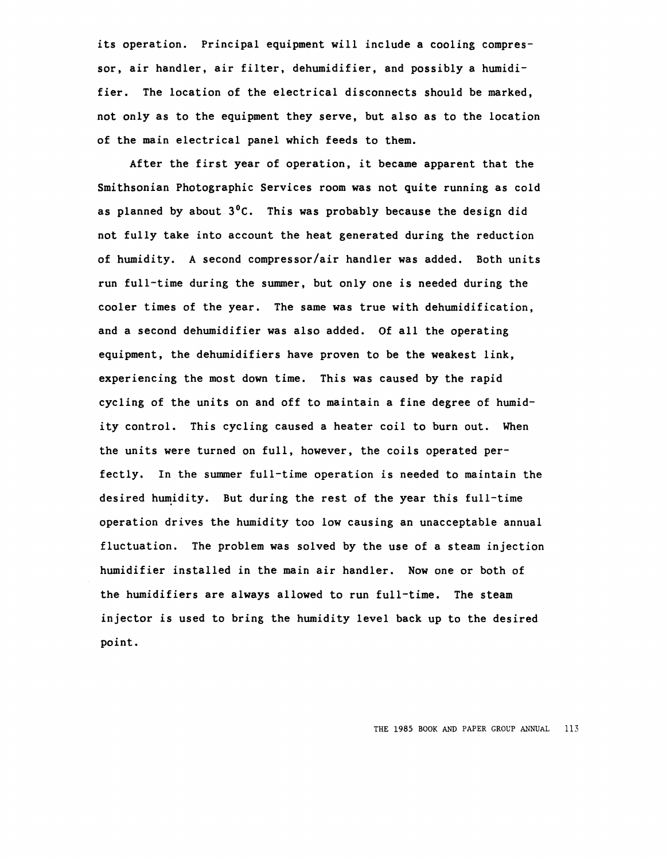its operation. Principal equipment will include a cooling compressor, air handler, air filter, dehumidifier, and possibly a humidifier. The location of the electrical disconnects should be marked, not only as to the equipment they serve, but also as to the location of the main electrical panel which feeds to them.

After the first year of operation, it became apparent that the Smithsonian Photographic Services room was not quite running as cold as planned by about  $3^0C$ . This was probably because the design did not fully take into account the heat generated during the reduction of humidity. A second compressor/air handler was added. Both units run full-time during the summer, but only one is needed during the cooler times of the year. The same was true with dehumidification, and a second dehumidifier was also added. Of all the operating equipment, the dehumidifiers have proven to be the weakest link, experiencing the most down time. This was caused by the rapid cycling of the units on and off to maintain a fine degree of humidity control. This cycling caused a heater coil to burn out. When the units were turned on full, however, the coils operated perfectly. In the summer full-time operation is needed to maintain the desired humidity. But during the rest of the year this full-time operation drives the humidity too low causing an unacceptable annual fluctuation. The problem was solved by the use of a steam injection humidifier installed in the main air handler. Now one or both of the humidifiers are always allowed to run full-time. The steam injector is used to bring the humidity level back up to the desired point.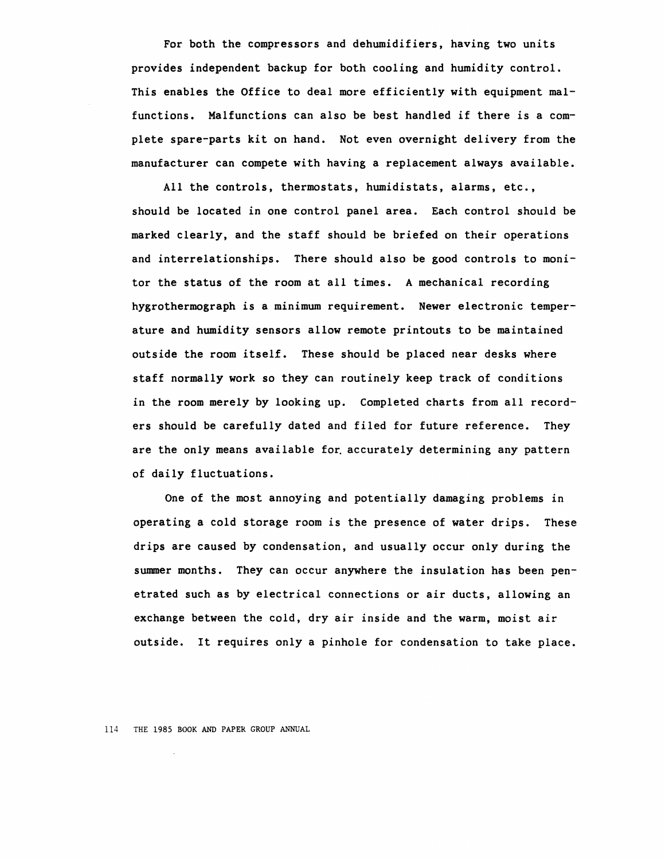For both the compressors and dehumidifiers, having two units provides independent backup for both cooling and humidity control. This enables the Office to deal more efficiently with equipment malfunctions. Malfunctions can also be best handled if there is a complete spare-parts kit on hand. Not even overnight delivery from the manufacturer can compete with having a replacement always available.

All the controls, thermostats, humidistats, alarms, etc., should be located in one control panel area. Each control should be marked clearly, and the staff should be briefed on their operations and interrelationships. There should also be good controls to monitor the status of the room at all times. A mechanical recording hygrothermograph is a minimum requirement. Newer electronic temperature and humidity sensors allow remote printouts to be maintained outside the room itself. These should be placed near desks where staff normally work so they can routinely keep track of conditions in the room merely by looking up. Completed charts from all recorders should be carefully dated and filed for future reference. They are the only means available for accurately determining any pattern of daily fluctuations.

One of the most annoying and potentially damaging problems in operating a cold storage room is the presence of water drips. These drips are caused by condensation, and usually occur only during the summer months. They can occur anywhere the insulation has been penetrated such as by electrical connections or air ducts, allowing an exchange between the cold, dry air inside and the warm, moist air outside. It requires only a pinhole for condensation to take place.